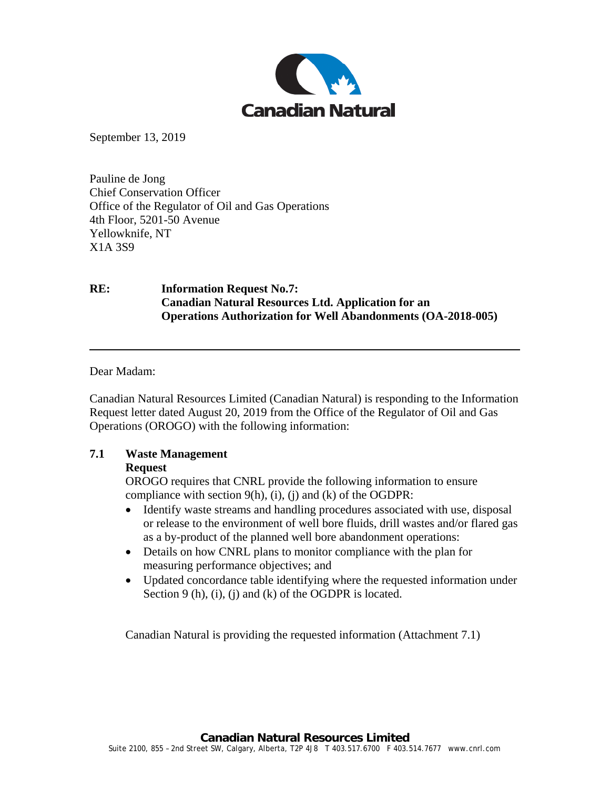

September 13, 2019

Pauline de Jong Chief Conservation Officer Office of the Regulator of Oil and Gas Operations 4th Floor, 5201-50 Avenue Yellowknife, NT X1A 3S9

### **RE: Information Request No.7: Canadian Natural Resources Ltd. Application for an Operations Authorization for Well Abandonments (OA-2018-005)**

Dear Madam:

Canadian Natural Resources Limited (Canadian Natural) is responding to the Information Request letter dated August 20, 2019 from the Office of the Regulator of Oil and Gas Operations (OROGO) with the following information:

# **7.1 Waste Management**

### **Request**

OROGO requires that CNRL provide the following information to ensure compliance with section  $9(h)$ , (i), (j) and (k) of the OGDPR:

- Identify waste streams and handling procedures associated with use, disposal or release to the environment of well bore fluids, drill wastes and/or flared gas as a by-product of the planned well bore abandonment operations:
- Details on how CNRL plans to monitor compliance with the plan for measuring performance objectives; and
- Updated concordance table identifying where the requested information under Section 9 (h), (i), (j) and (k) of the OGDPR is located.

Canadian Natural is providing the requested information (Attachment 7.1)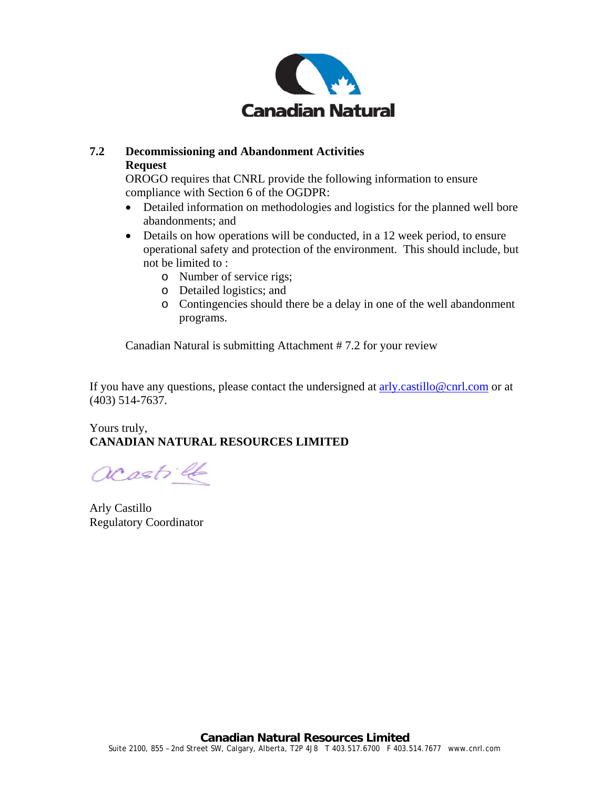

## **7.2 Decommissioning and Abandonment Activities Request**

OROGO requires that CNRL provide the following information to ensure compliance with Section 6 of the OGDPR:

- Detailed information on methodologies and logistics for the planned well bore abandonments; and
- Details on how operations will be conducted, in a 12 week period, to ensure operational safety and protection of the environment. This should include, but not be limited to :
	- o Number of service rigs;
	- o Detailed logistics; and
	- o Contingencies should there be a delay in one of the well abandonment programs.

Canadian Natural is submitting Attachment # 7.2 for your review

If you have any questions, please contact the undersigned at  $\frac{\text{arly.castillo@cnrl.com}}{\text{arly.castillo@cnrl.com}}$  or at (403) 514-7637.

# Yours truly, **CANADIAN NATURAL RESOURCES LIMITED**

acastill

Arly Castillo Regulatory Coordinator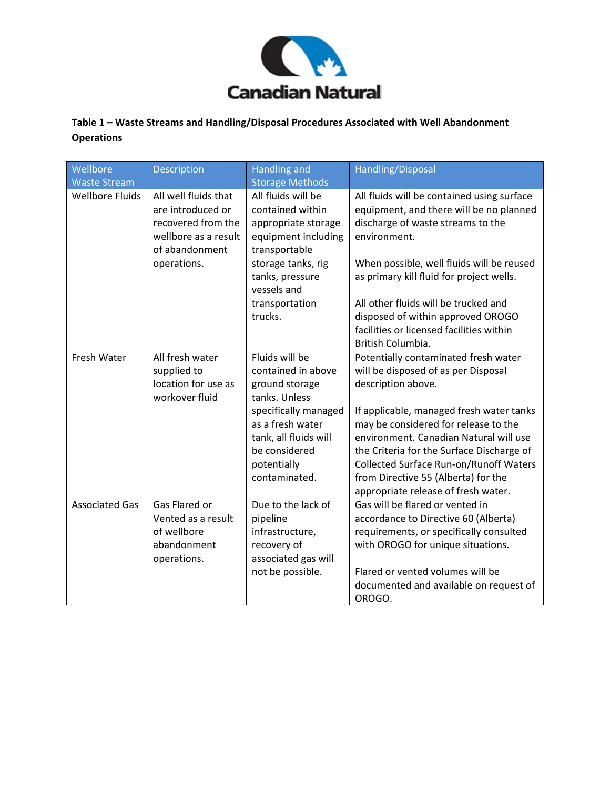

# **Table 1 – Waste Streams and Handling/Disposal Procedures Associated with Well Abandonment Operations**

| Wellbore<br><b>Waste Stream</b> | Description                                                                                                              | <b>Handling and</b><br><b>Storage Methods</b>                                                                                                                                                 | Handling/Disposal                                                                                                                                                                                                                                                                                                                                                                                           |
|---------------------------------|--------------------------------------------------------------------------------------------------------------------------|-----------------------------------------------------------------------------------------------------------------------------------------------------------------------------------------------|-------------------------------------------------------------------------------------------------------------------------------------------------------------------------------------------------------------------------------------------------------------------------------------------------------------------------------------------------------------------------------------------------------------|
| <b>Wellbore Fluids</b>          | All well fluids that<br>are introduced or<br>recovered from the<br>wellbore as a result<br>of abandonment<br>operations. | All fluids will be<br>contained within<br>appropriate storage<br>equipment including<br>transportable<br>storage tanks, rig<br>tanks, pressure<br>vessels and<br>transportation<br>trucks.    | All fluids will be contained using surface<br>equipment, and there will be no planned<br>discharge of waste streams to the<br>environment.<br>When possible, well fluids will be reused<br>as primary kill fluid for project wells.<br>All other fluids will be trucked and<br>disposed of within approved OROGO<br>facilities or licensed facilities within<br>British Columbia.                           |
| Fresh Water                     | All fresh water<br>supplied to<br>location for use as<br>workover fluid                                                  | Fluids will be<br>contained in above<br>ground storage<br>tanks. Unless<br>specifically managed<br>as a fresh water<br>tank, all fluids will<br>be considered<br>potentially<br>contaminated. | Potentially contaminated fresh water<br>will be disposed of as per Disposal<br>description above.<br>If applicable, managed fresh water tanks<br>may be considered for release to the<br>environment. Canadian Natural will use<br>the Criteria for the Surface Discharge of<br><b>Collected Surface Run-on/Runoff Waters</b><br>from Directive 55 (Alberta) for the<br>appropriate release of fresh water. |
| <b>Associated Gas</b>           | Gas Flared or<br>Vented as a result<br>of wellbore<br>abandonment<br>operations.                                         | Due to the lack of<br>pipeline<br>infrastructure,<br>recovery of<br>associated gas will<br>not be possible.                                                                                   | Gas will be flared or vented in<br>accordance to Directive 60 (Alberta)<br>requirements, or specifically consulted<br>with OROGO for unique situations.<br>Flared or vented volumes will be<br>documented and available on request of<br>OROGO.                                                                                                                                                             |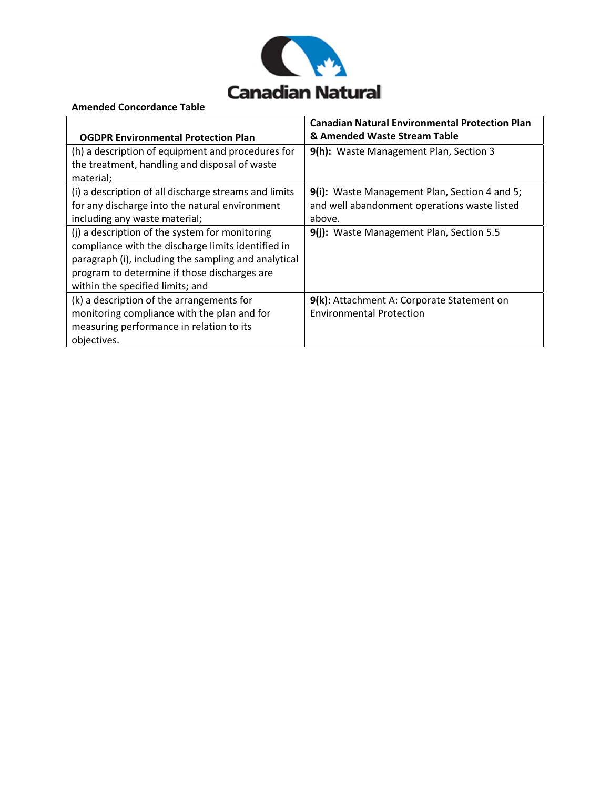

#### **Amended Concordance Table**

|                                                       | <b>Canadian Natural Environmental Protection Plan</b> |
|-------------------------------------------------------|-------------------------------------------------------|
| <b>OGDPR Environmental Protection Plan</b>            | & Amended Waste Stream Table                          |
| (h) a description of equipment and procedures for     | 9(h): Waste Management Plan, Section 3                |
| the treatment, handling and disposal of waste         |                                                       |
| material;                                             |                                                       |
| (i) a description of all discharge streams and limits | 9(i): Waste Management Plan, Section 4 and 5;         |
| for any discharge into the natural environment        | and well abandonment operations waste listed          |
| including any waste material;                         | above.                                                |
| (j) a description of the system for monitoring        | 9(j): Waste Management Plan, Section 5.5              |
| compliance with the discharge limits identified in    |                                                       |
| paragraph (i), including the sampling and analytical  |                                                       |
| program to determine if those discharges are          |                                                       |
| within the specified limits; and                      |                                                       |
| (k) a description of the arrangements for             | 9(k): Attachment A: Corporate Statement on            |
| monitoring compliance with the plan and for           | <b>Environmental Protection</b>                       |
| measuring performance in relation to its              |                                                       |
| objectives.                                           |                                                       |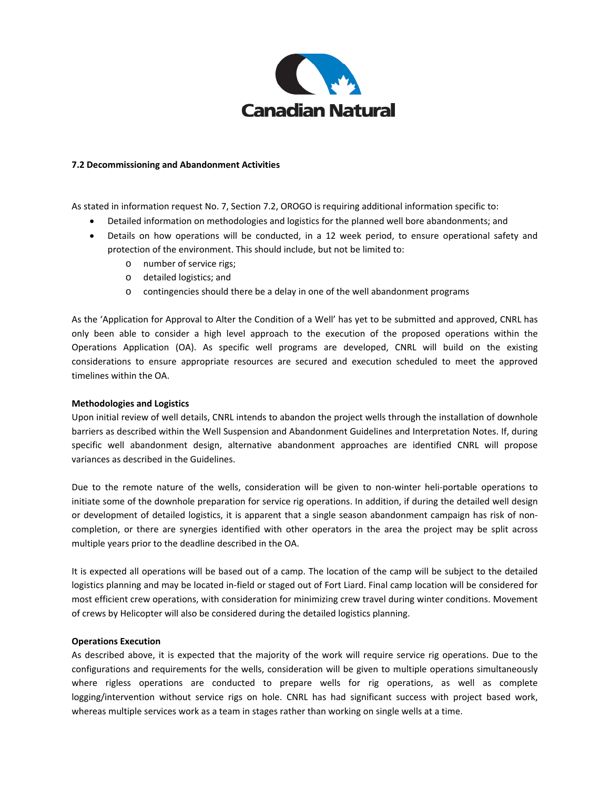

#### **7.2 Decommissioning and Abandonment Activities**

As stated in information request No. 7, Section 7.2, OROGO is requiring additional information specific to:

- Detailed information on methodologies and logistics for the planned well bore abandonments; and
- Details on how operations will be conducted, in a 12 week period, to ensure operational safety and protection of the environment. This should include, but not be limited to:
	- o number of service rigs;
	- o detailed logistics; and
	- o contingencies should there be a delay in one of the well abandonment programs

As the 'Application for Approval to Alter the Condition of a Well' has yet to be submitted and approved, CNRL has only been able to consider a high level approach to the execution of the proposed operations within the Operations Application (OA). As specific well programs are developed, CNRL will build on the existing considerations to ensure appropriate resources are secured and execution scheduled to meet the approved timelines within the OA.

#### **Methodologies and Logistics**

Upon initial review of well details, CNRL intends to abandon the project wells through the installation of downhole barriers as described within the Well Suspension and Abandonment Guidelines and Interpretation Notes. If, during specific well abandonment design, alternative abandonment approaches are identified CNRL will propose variances as described in the Guidelines.

Due to the remote nature of the wells, consideration will be given to non-winter heli-portable operations to initiate some of the downhole preparation for service rig operations. In addition, if during the detailed well design or development of detailed logistics, it is apparent that a single season abandonment campaign has risk of non‐ completion, or there are synergies identified with other operators in the area the project may be split across multiple years prior to the deadline described in the OA.

It is expected all operations will be based out of a camp. The location of the camp will be subject to the detailed logistics planning and may be located in‐field or staged out of Fort Liard. Final camp location will be considered for most efficient crew operations, with consideration for minimizing crew travel during winter conditions. Movement of crews by Helicopter will also be considered during the detailed logistics planning.

#### **Operations Execution**

As described above, it is expected that the majority of the work will require service rig operations. Due to the configurations and requirements for the wells, consideration will be given to multiple operations simultaneously where rigless operations are conducted to prepare wells for rig operations, as well as complete logging/intervention without service rigs on hole. CNRL has had significant success with project based work, whereas multiple services work as a team in stages rather than working on single wells at a time.